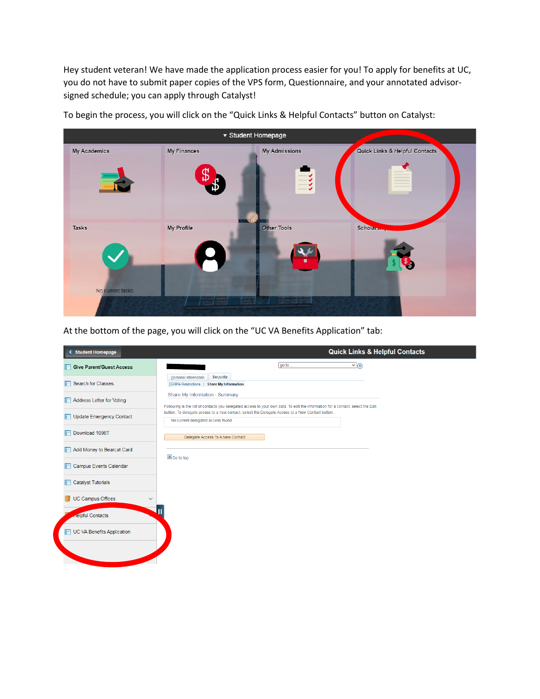Hey student veteran! We have made the application process easier for you! To apply for benefits at UC, you do not have to submit paper copies of the VPS form, Questionnaire, and your annotated advisorsigned schedule; you can apply through Catalyst!



To begin the process, you will click on the "Quick Links & Helpful Contacts" button on Catalyst:

At the bottom of the page, you will click on the "UC VA Benefits Application" tab:

| < Student Homepage                       | <b>Quick Links &amp; Helpful Contacts</b>                                                                                                                         |
|------------------------------------------|-------------------------------------------------------------------------------------------------------------------------------------------------------------------|
| <b>Give Parent/Guest Access</b><br>r     | go to<br>$\vee$ $\circ$                                                                                                                                           |
| <b>Search for Classes</b><br>F           | <b>Security</b><br>Personal Information<br><b>FERPA Restrictions   Share My Information</b>                                                                       |
| Address Letter for Voting<br>F           | Share My Information - Summary<br>Following is the list of contacts you delegated access to your own data. To edit the information for a contact, select the Edit |
| Update Emergency Contact                 | button. To delegate access to a new contact, select the Delegate Access to a New Contact button.<br>No current delegated access found.                            |
| Download 1098T<br>F                      | Delegate Access To A New Contact                                                                                                                                  |
| Add Money to Bearcat Card<br>F           | So to top                                                                                                                                                         |
| <b>Campus Events Calendar</b><br>n       |                                                                                                                                                                   |
| <b>Catalyst Tutorials</b><br>n           |                                                                                                                                                                   |
| <b>UC Campus Offices</b><br>$\checkmark$ |                                                                                                                                                                   |
| <b>Relpful Contacts</b>                  | ℿ                                                                                                                                                                 |
| UC VA Benefits Application               |                                                                                                                                                                   |
|                                          |                                                                                                                                                                   |
|                                          |                                                                                                                                                                   |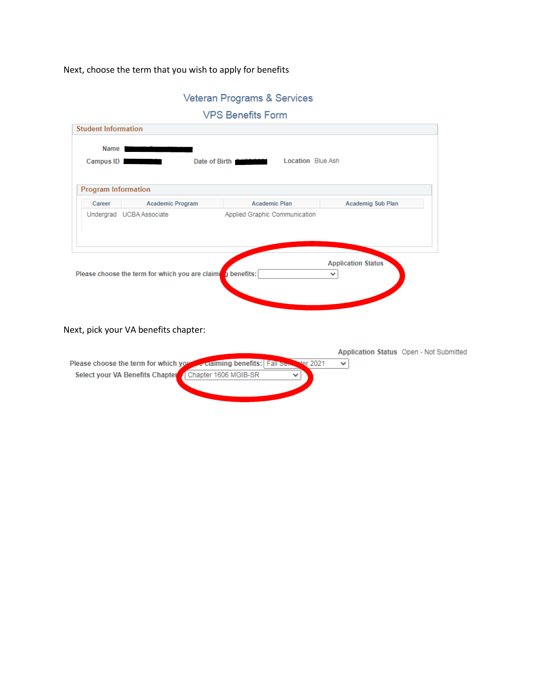## Next, choose the term that you wish to apply for benefits

| Veteran Programs & Services |  |  |
|-----------------------------|--|--|
|-----------------------------|--|--|

| <b>VPS Benefits Form</b> |  |
|--------------------------|--|

|        | <b>Program Information</b> |                               |                          |
|--------|----------------------------|-------------------------------|--------------------------|
| Career | <b>Academic Program</b>    | <b>Academic Plan</b>          | <b>Academig Sub Plan</b> |
|        | Undergrad UCBA Associate   | Applied Graphic Communication |                          |
|        |                            |                               |                          |

Next, pick your VA benefits chapter:

|                                                                                 |  |  | Application Status Open - Not Submitted |
|---------------------------------------------------------------------------------|--|--|-----------------------------------------|
| Please choose the term for which you we claiming benefits: Fall Senter ter 2021 |  |  |                                         |
| Select your VA Benefits Chapter / Chapter 1606 MGIB-SR                          |  |  |                                         |
|                                                                                 |  |  |                                         |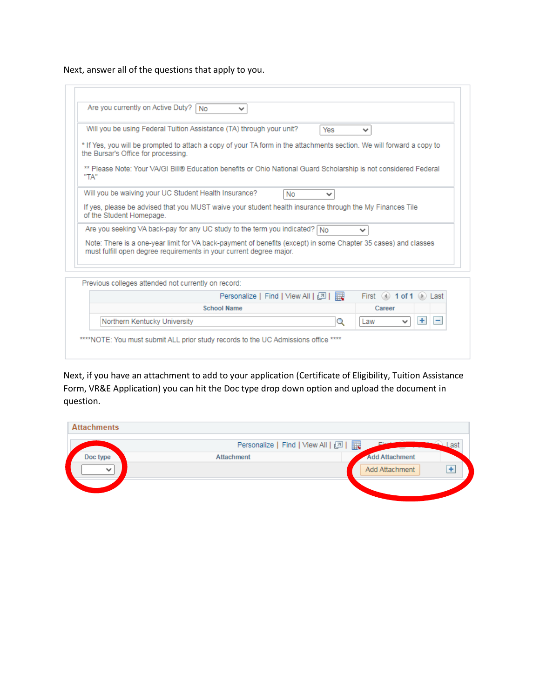Next, answer all of the questions that apply to you.

|      | Are you currently on Active Duty?<br>No<br>v                                                                                                                                          |
|------|---------------------------------------------------------------------------------------------------------------------------------------------------------------------------------------|
|      | Will you be using Federal Tuition Assistance (TA) through your unit?<br>Yes<br>$\checkmark$                                                                                           |
|      | * If Yes, you will be prompted to attach a copy of your TA form in the attachments section. We will forward a copy to<br>the Bursar's Office for processing.                          |
| "TA" | ** Please Note: Your VA/GI Bill® Education benefits or Ohio National Guard Scholarship is not considered Federal                                                                      |
|      | Will you be waiving your UC Student Health Insurance?<br><b>No</b><br>v                                                                                                               |
|      | If yes, please be advised that you MUST waive your student health insurance through the My Finances Tile<br>of the Student Homepage.                                                  |
|      | Are you seeking VA back-pay for any UC study to the term you indicated? $\log$<br>$\checkmark$                                                                                        |
|      | Note: There is a one-year limit for VA back-payment of benefits (except) in some Chapter 35 cases) and classes<br>must fulfill open degree requirements in your current degree major. |
|      | Previous colleges attended not currently on record:                                                                                                                                   |
|      | First $(4)$ 1 of 1 $(6)$ Last                                                                                                                                                         |
|      | <b>School Name</b><br>Career                                                                                                                                                          |
|      | $+$<br>Northern Kentucky University<br>Q<br>-<br>Law<br>$\checkmark$                                                                                                                  |

Next, if you have an attachment to add to your application (Certificate of Eligibility, Tuition Assistance Form, VR&E Application) you can hit the Doc type drop down option and upload the document in question.

| <b>Attachments</b> |                                       |                       |
|--------------------|---------------------------------------|-----------------------|
|                    | Personalize   Find   View All   2   표 |                       |
| Doc type           | <b>Attachment</b>                     | <b>Add Attachment</b> |
| $\checkmark$       |                                       | ÷<br>Add Attachment   |
|                    |                                       |                       |
|                    |                                       |                       |